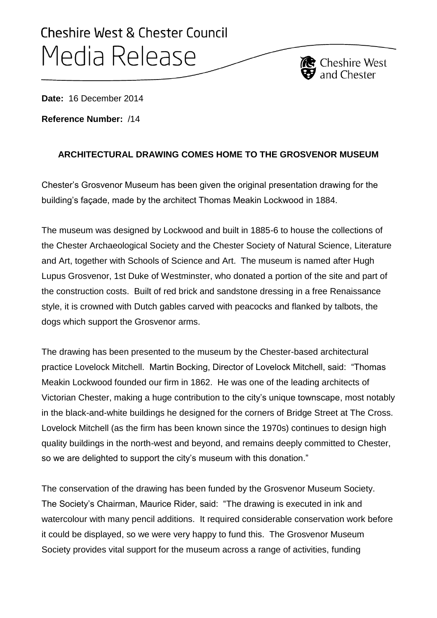## Cheshire West & Chester Council Media Release

**Date:** 16 December 2014

**Reference Number:** /14

## **ARCHITECTURAL DRAWING COMES HOME TO THE GROSVENOR MUSEUM**

**C** Cheshire West

Chester's Grosvenor Museum has been given the original presentation drawing for the building's façade, made by the architect Thomas Meakin Lockwood in 1884.

The museum was designed by Lockwood and built in 1885-6 to house the collections of the Chester Archaeological Society and the Chester Society of Natural Science, Literature and Art, together with Schools of Science and Art. The museum is named after Hugh Lupus Grosvenor, 1st Duke of Westminster, who donated a portion of the site and part of the construction costs. Built of red brick and sandstone dressing in a free Renaissance style, it is crowned with Dutch gables carved with peacocks and flanked by talbots, the dogs which support the Grosvenor arms.

The drawing has been presented to the museum by the Chester-based architectural practice Lovelock Mitchell. Martin Bocking, Director of Lovelock Mitchell, said: "Thomas Meakin Lockwood founded our firm in 1862. He was one of the leading architects of Victorian Chester, making a huge contribution to the city's unique townscape, most notably in the black-and-white buildings he designed for the corners of Bridge Street at The Cross. Lovelock Mitchell (as the firm has been known since the 1970s) continues to design high quality buildings in the north-west and beyond, and remains deeply committed to Chester, so we are delighted to support the city's museum with this donation."

The conservation of the drawing has been funded by the Grosvenor Museum Society. The Society's Chairman, Maurice Rider, said: "The drawing is executed in ink and watercolour with many pencil additions. It required considerable conservation work before it could be displayed, so we were very happy to fund this. The Grosvenor Museum Society provides vital support for the museum across a range of activities, funding